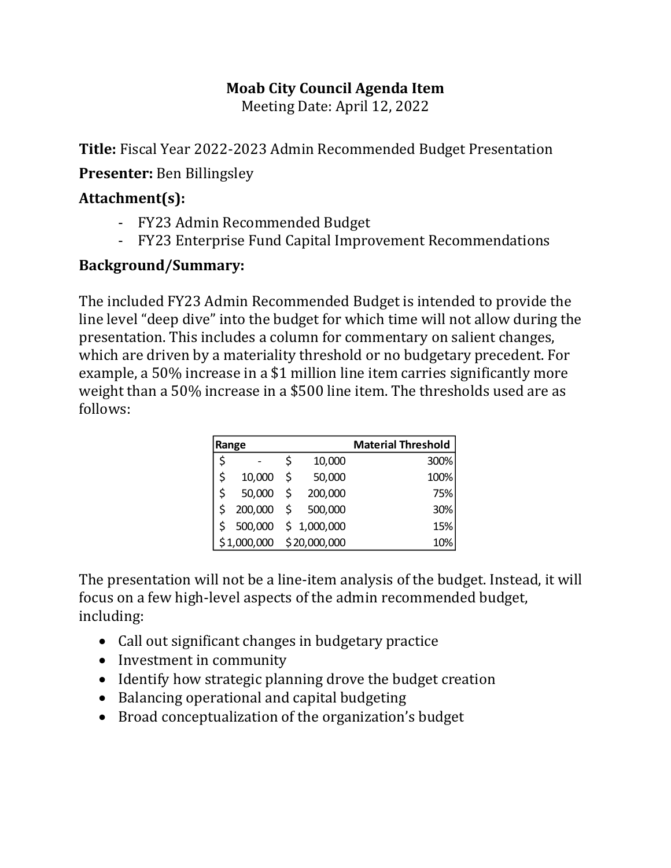## **Moab City Council Agenda Item**

Meeting Date: April 12, 2022

**Title:** Fiscal Year 2022-2023 Admin Recommended Budget Presentation

**Presenter:** Ben Billingsley

## **Attachment(s):**

- FY23 Admin Recommended Budget
- FY23 Enterprise Fund Capital Improvement Recommendations

## **Background/Summary:**

The included FY23 Admin Recommended Budget is intended to provide the line level "deep dive" into the budget for which time will not allow during the presentation. This includes a column for commentary on salient changes, which are driven by a materiality threshold or no budgetary precedent. For example, a 50% increase in a \$1 million line item carries significantly more weight than a 50% increase in a \$500 line item. The thresholds used are as follows:

| Range       |         |    | <b>Material Threshold</b> |      |
|-------------|---------|----|---------------------------|------|
| \$          |         | \$ | 10,000                    | 300% |
| \$          | 10,000  | Ś  | 50,000                    | 100% |
| \$          | 50,000  | Ś  | 200,000                   | 75%  |
|             | 200,000 | \$ | 500,000                   | 30%  |
|             | 500,000 |    | \$1,000,000               | 15%  |
| \$1,000,000 |         |    | \$20,000,000              | 10%  |

The presentation will not be a line-item analysis of the budget. Instead, it will focus on a few high-level aspects of the admin recommended budget, including:

- Call out significant changes in budgetary practice
- Investment in community
- Identify how strategic planning drove the budget creation
- Balancing operational and capital budgeting
- Broad conceptualization of the organization's budget